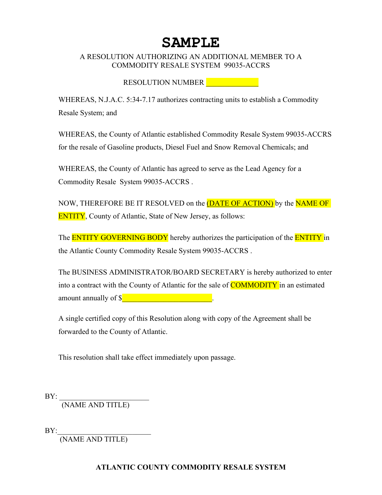# **SAMPLE**

## A RESOLUTION AUTHORIZING AN ADDITIONAL MEMBER TO A COMMODITY RESALE SYSTEM 99035-ACCRS

# RESOLUTION NUMBER **Little SECTION**

WHEREAS, N.J.A.C. 5:34-7.17 authorizes contracting units to establish a Commodity Resale System; and

WHEREAS, the County of Atlantic established Commodity Resale System 99035-ACCRS for the resale of Gasoline products, Diesel Fuel and Snow Removal Chemicals; and

WHEREAS, the County of Atlantic has agreed to serve as the Lead Agency for a Commodity Resale System 99035-ACCRS .

NOW, THEREFORE BE IT RESOLVED on the **(DATE OF ACTION)** by the **NAME OF ENTITY**, County of Atlantic, State of New Jersey, as follows:

The **ENTITY GOVERNING BODY** hereby authorizes the participation of the **ENTITY** in the Atlantic County Commodity Resale System 99035-ACCRS .

The BUSINESS ADMINISTRATOR/BOARD SECRETARY is hereby authorized to enter into a contract with the County of Atlantic for the sale of **COMMODITY** in an estimated amount annually of  $\int$ 

A single certified copy of this Resolution along with copy of the Agreement shall be forwarded to the County of Atlantic.

This resolution shall take effect immediately upon passage.

BY: \_\_\_\_\_\_\_\_\_\_\_\_\_\_\_\_\_\_\_\_\_\_\_\_ (NAME AND TITLE)

 $BY:$ 

(NAME AND TITLE)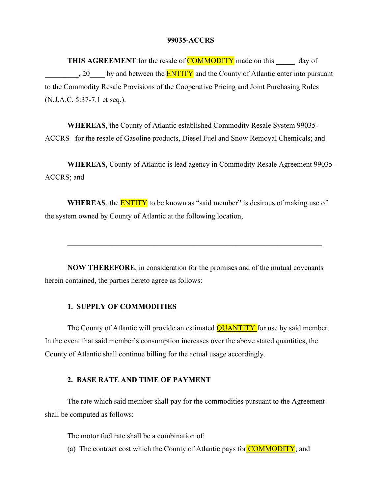#### **99035-ACCRS**

**THIS AGREEMENT** for the resale of **COMMODITY** made on this day of 20 by and between the **ENTITY** and the County of Atlantic enter into pursuant to the Commodity Resale Provisions of the Cooperative Pricing and Joint Purchasing Rules (N.J.A.C. 5:37-7.1 et seq.).

**WHEREAS**, the County of Atlantic established Commodity Resale System 99035- ACCRS for the resale of Gasoline products, Diesel Fuel and Snow Removal Chemicals; and

**WHEREAS**, County of Atlantic is lead agency in Commodity Resale Agreement 99035- ACCRS; and

**WHEREAS**, the **ENTITY** to be known as "said member" is desirous of making use of the system owned by County of Atlantic at the following location,

 $\mathcal{L}_\mathcal{L} = \mathcal{L}_\mathcal{L} = \mathcal{L}_\mathcal{L} = \mathcal{L}_\mathcal{L} = \mathcal{L}_\mathcal{L} = \mathcal{L}_\mathcal{L} = \mathcal{L}_\mathcal{L} = \mathcal{L}_\mathcal{L} = \mathcal{L}_\mathcal{L} = \mathcal{L}_\mathcal{L} = \mathcal{L}_\mathcal{L} = \mathcal{L}_\mathcal{L} = \mathcal{L}_\mathcal{L} = \mathcal{L}_\mathcal{L} = \mathcal{L}_\mathcal{L} = \mathcal{L}_\mathcal{L} = \mathcal{L}_\mathcal{L}$ 

**NOW THEREFORE**, in consideration for the promises and of the mutual covenants herein contained, the parties hereto agree as follows:

## **1. SUPPLY OF COMMODITIES**

The County of Atlantic will provide an estimated **QUANTITY** for use by said member. In the event that said member's consumption increases over the above stated quantities, the County of Atlantic shall continue billing for the actual usage accordingly.

#### **2. BASE RATE AND TIME OF PAYMENT**

The rate which said member shall pay for the commodities pursuant to the Agreement shall be computed as follows:

The motor fuel rate shall be a combination of:

(a) The contract cost which the County of Atlantic pays for  $\overline{COMMODITY}$ ; and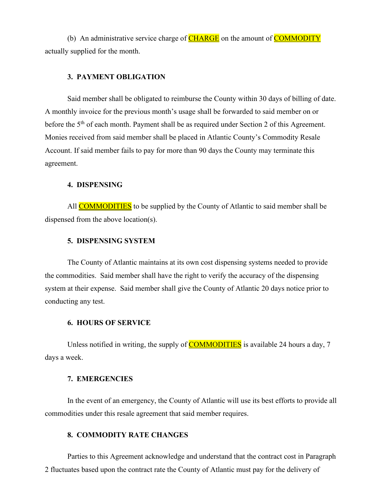(b) An administrative service charge of  $CHARGE$  on the amount of  $COMMODITY$ actually supplied for the month.

#### **3. PAYMENT OBLIGATION**

Said member shall be obligated to reimburse the County within 30 days of billing of date. A monthly invoice for the previous month's usage shall be forwarded to said member on or before the 5<sup>th</sup> of each month. Payment shall be as required under Section 2 of this Agreement. Monies received from said member shall be placed in Atlantic County's Commodity Resale Account. If said member fails to pay for more than 90 days the County may terminate this agreement.

#### **4. DISPENSING**

All **COMMODITIES** to be supplied by the County of Atlantic to said member shall be dispensed from the above location(s).

## **5. DISPENSING SYSTEM**

The County of Atlantic maintains at its own cost dispensing systems needed to provide the commodities. Said member shall have the right to verify the accuracy of the dispensing system at their expense. Said member shall give the County of Atlantic 20 days notice prior to conducting any test.

#### **6. HOURS OF SERVICE**

Unless notified in writing, the supply of **COMMODITIES** is available 24 hours a day, 7 days a week.

### **7. EMERGENCIES**

In the event of an emergency, the County of Atlantic will use its best efforts to provide all commodities under this resale agreement that said member requires.

## **8. COMMODITY RATE CHANGES**

Parties to this Agreement acknowledge and understand that the contract cost in Paragraph 2 fluctuates based upon the contract rate the County of Atlantic must pay for the delivery of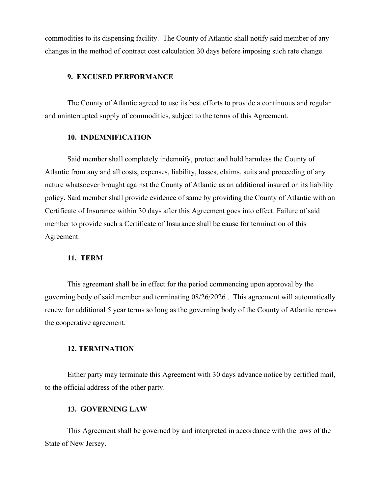commodities to its dispensing facility. The County of Atlantic shall notify said member of any changes in the method of contract cost calculation 30 days before imposing such rate change.

#### **9. EXCUSED PERFORMANCE**

The County of Atlantic agreed to use its best efforts to provide a continuous and regular and uninterrupted supply of commodities, subject to the terms of this Agreement.

#### **10. INDEMNIFICATION**

Said member shall completely indemnify, protect and hold harmless the County of Atlantic from any and all costs, expenses, liability, losses, claims, suits and proceeding of any nature whatsoever brought against the County of Atlantic as an additional insured on its liability policy. Said member shall provide evidence of same by providing the County of Atlantic with an Certificate of Insurance within 30 days after this Agreement goes into effect. Failure of said member to provide such a Certificate of Insurance shall be cause for termination of this Agreement.

#### **11. TERM**

This agreement shall be in effect for the period commencing upon approval by the governing body of said member and terminating 08/26/2026 . This agreement will automatically renew for additional 5 year terms so long as the governing body of the County of Atlantic renews the cooperative agreement.

#### **12. TERMINATION**

Either party may terminate this Agreement with 30 days advance notice by certified mail, to the official address of the other party.

## **13. GOVERNING LAW**

This Agreement shall be governed by and interpreted in accordance with the laws of the State of New Jersey.